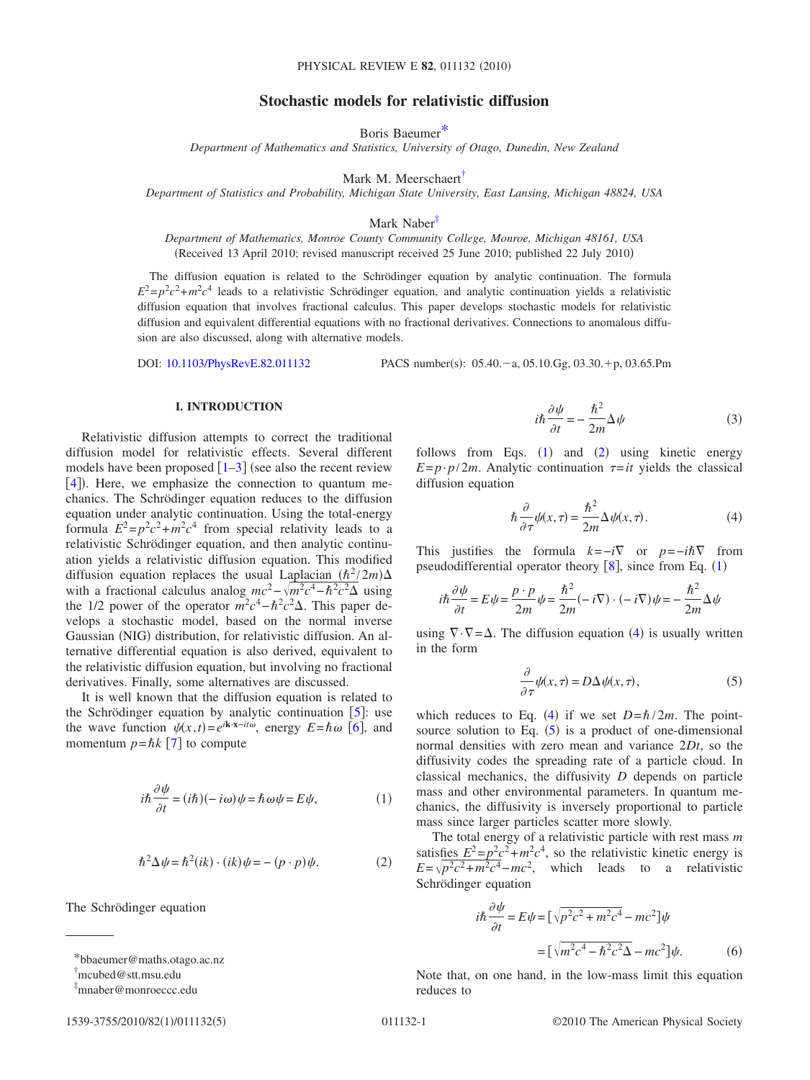# **Stochastic models for relativistic diffusion**

Boris Baeume[r\\*](#page-0-0)

*Department of Mathematics and Statistics, University of Otago, Dunedin, New Zealand*

Mark M. Meerschaert<sup>†</sup>

*Department of Statistics and Probability, Michigan State University, East Lansing, Michigan 48824, USA*

Mark Naber<sup>‡</sup>

*Department of Mathematics, Monroe County Community College, Monroe, Michigan 48161, USA* (Received 13 April 2010; revised manuscript received 25 June 2010; published 22 July 2010)

The diffusion equation is related to the Schrödinger equation by analytic continuation. The formula  $E^2 = p^2c^2 + m^2c^4$  leads to a relativistic Schrödinger equation, and analytic continuation yields a relativistic diffusion equation that involves fractional calculus. This paper develops stochastic models for relativistic diffusion and equivalent differential equations with no fractional derivatives. Connections to anomalous diffusion are also discussed, along with alternative models.

DOI: [10.1103/PhysRevE.82.011132](http://dx.doi.org/10.1103/PhysRevE.82.011132)

 $: 05.40 - a, 05.10 \text{ Gg}, 03.30 + p, 03.65 \text{ Pm}$ 

## **I. INTRODUCTION**

Relativistic diffusion attempts to correct the traditional diffusion model for relativistic effects. Several different models have been proposed  $\lceil 1-3 \rceil$  $\lceil 1-3 \rceil$  $\lceil 1-3 \rceil$  (see also the recent review [[4](#page-3-2)]). Here, we emphasize the connection to quantum mechanics. The Schrödinger equation reduces to the diffusion equation under analytic continuation. Using the total-energy formula  $E^2 = p^2c^2 + m^2c^4$  from special relativity leads to a relativistic Schrödinger equation, and then analytic continuation yields a relativistic diffusion equation. This modified diffusion equation replaces the usual Laplacian  $(\hbar^2 / 2m) \Delta$ with a fractional calculus analog  $mc^2 - \sqrt{m^2c^4 - \hbar^2c^2\Delta}$  using the 1/2 power of the operator  $m^2c^4 - \hbar^2c^2\Delta$ . This paper develops a stochastic model, based on the normal inverse Gaussian (NIG) distribution, for relativistic diffusion. An alternative differential equation is also derived, equivalent to the relativistic diffusion equation, but involving no fractional derivatives. Finally, some alternatives are discussed.

It is well known that the diffusion equation is related to the Schrödinger equation by analytic continuation  $[5]$  $[5]$  $[5]$ : use the wave function  $\psi(x,t) = e^{i\mathbf{k}\cdot\mathbf{x}-i t\omega}$ , energy  $E = \hbar \omega$  [[6](#page-3-4)], and momentum  $p = \hbar k$  [[7](#page-3-5)] to compute

<span id="page-0-3"></span>
$$
i\hbar \frac{\partial \psi}{\partial t} = (i\hbar)(-i\omega)\psi = \hbar \omega \psi = E\psi,
$$
 (1)

$$
\hbar^2 \Delta \psi = \hbar^2 (ik) \cdot (ik) \psi = - (p \cdot p) \psi. \tag{2}
$$

<span id="page-0-4"></span>The Schrödinger equation

$$
1539\hbox{-} 3755/2010/82(1)/011132(5)
$$

$$
i\hbar \frac{\partial \psi}{\partial t} = -\frac{\hbar^2}{2m} \Delta \psi \tag{3}
$$

follows from Eqs.  $(1)$  $(1)$  $(1)$  and  $(2)$  $(2)$  $(2)$  using kinetic energy  $E=p \cdot p/2m$ . Analytic continuation  $\tau=it$  yields the classical diffusion equation

$$
\hbar \frac{\partial}{\partial \tau} \psi(x,\tau) = \frac{\hbar^2}{2m} \Delta \psi(x,\tau). \tag{4}
$$

<span id="page-0-5"></span>This justifies the formula  $k = -i\nabla$  or  $p = -i\hbar\nabla$  from pseudodifferential operator theory  $[8]$  $[8]$  $[8]$ , since from Eq.  $(1)$  $(1)$  $(1)$ 

$$
i\hbar \frac{\partial \psi}{\partial t} = E\psi = \frac{p \cdot p}{2m} \psi = \frac{\hbar^2}{2m} (-i\nabla) \cdot (-i\nabla) \psi = -\frac{\hbar^2}{2m} \Delta \psi
$$

<span id="page-0-6"></span>using  $\nabla \cdot \nabla = \Delta$ . The diffusion equation ([4](#page-0-5)) is usually written in the form

$$
\frac{\partial}{\partial \tau} \psi(x, \tau) = D \Delta \psi(x, \tau), \tag{5}
$$

which reduces to Eq. ([4](#page-0-5)) if we set  $D = \hbar / 2m$ . The pointsource solution to Eq.  $(5)$  $(5)$  $(5)$  is a product of one-dimensional normal densities with zero mean and variance 2*Dt*, so the diffusivity codes the spreading rate of a particle cloud. In classical mechanics, the diffusivity *D* depends on particle mass and other environmental parameters. In quantum mechanics, the diffusivity is inversely proportional to particle mass since larger particles scatter more slowly.

The total energy of a relativistic particle with rest mass *m* satisfies  $E^2 = p^2c^2 + m^2c^4$ , so the relativistic kinetic energy is  $E = \sqrt{p^2c^2 + m^2c^4} - mc^2$ , which leads to a relativistic Schrödinger equation

<span id="page-0-7"></span>
$$
i\hbar \frac{\partial \psi}{\partial t} = E\psi = \left[\sqrt{p^2c^2 + m^2c^4} - mc^2\right]\psi
$$

$$
= \left[\sqrt{m^2c^4 - \hbar^2c^2}\Delta - mc^2\right]\psi. \tag{6}
$$

Note that, on one hand, in the low-mass limit this equation reduces to

<span id="page-0-0"></span><sup>\*</sup>bbaeumer@maths.otago.ac.nz

<span id="page-0-1"></span><sup>†</sup> mcubed@stt.msu.edu

<span id="page-0-2"></span><sup>‡</sup> mnaber@monroeccc.edu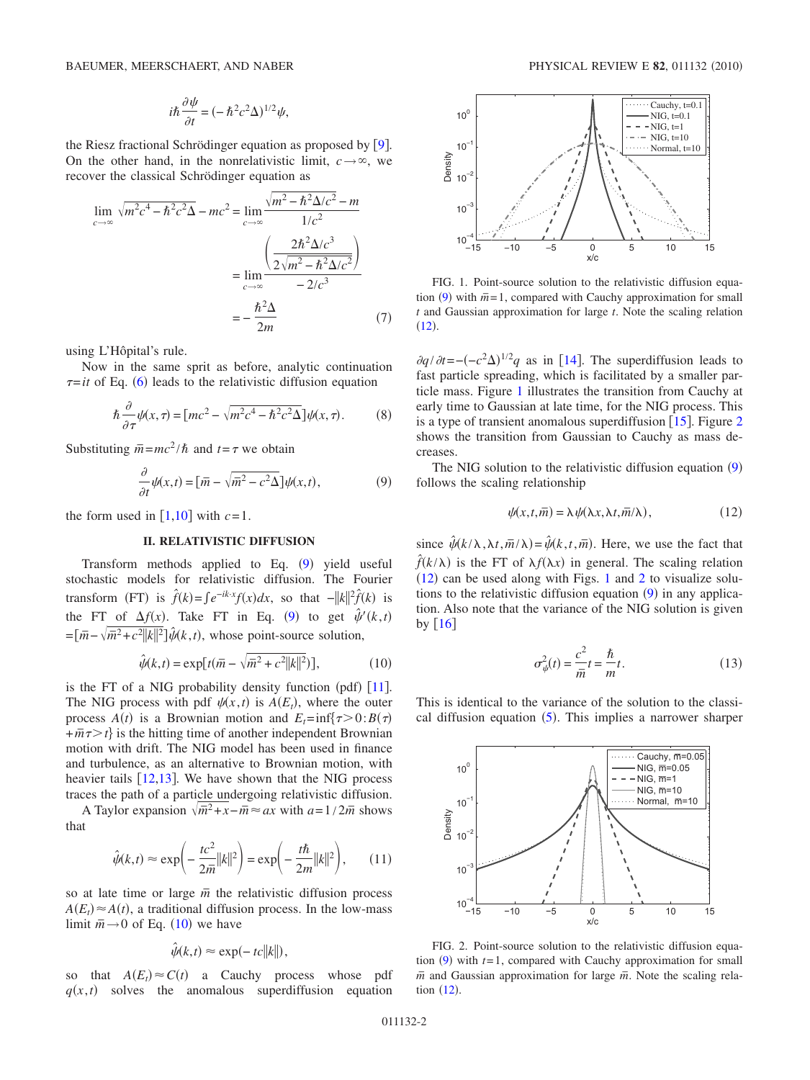$$
i\hbar \frac{\partial \psi}{\partial t} = (-\hbar^2 c^2 \Delta)^{1/2} \psi,
$$

the Riesz fractional Schrödinger equation as proposed by  $[9]$  $[9]$  $[9]$ . On the other hand, in the nonrelativistic limit,  $c \rightarrow \infty$ , we recover the classical Schrödinger equation as

$$
\lim_{c \to \infty} \sqrt{m^2 c^4 - \hbar^2 c^2 \Delta} - mc^2 = \lim_{c \to \infty} \frac{\sqrt{m^2 - \hbar^2 \Delta/c^2} - m}{1/c^2}
$$

$$
= \lim_{c \to \infty} \frac{\left(\frac{2\hbar^2 \Delta/c^3}{2\sqrt{m^2 - \hbar^2 \Delta/c^2}}\right)}{-2/c^3}
$$

$$
= -\frac{\hbar^2 \Delta}{2m}
$$
(7)

using L'Hôpital's rule.

Now in the same sprit as before, analytic continuation  $\tau$ =*it* of Eq. ([6](#page-0-7)) leads to the relativistic diffusion equation

$$
\hbar \frac{\partial}{\partial \tau} \psi(x,\tau) = \left[ mc^2 - \sqrt{m^2 c^4 - \hbar^2 c^2} \Delta \right] \psi(x,\tau). \tag{8}
$$

<span id="page-1-0"></span>Substituting  $\overline{m} = mc^2/\hbar$  and  $t = \tau$  we obtain

$$
\frac{\partial}{\partial t}\psi(x,t) = \left[\bar{m} - \sqrt{\bar{m}^2 - c^2\Delta}\right]\psi(x,t),\tag{9}
$$

the form used in  $\lceil 1,10 \rceil$  $\lceil 1,10 \rceil$  $\lceil 1,10 \rceil$  $\lceil 1,10 \rceil$  with  $c=1$ .

## **II. RELATIVISTIC DIFFUSION**

Transform methods applied to Eq.  $(9)$  $(9)$  $(9)$  yield useful stochastic models for relativistic diffusion. The Fourier transform (FT) is  $\hat{f}(k) = \int e^{-ik \cdot x} f(x) dx$ , so that  $-||k||^2 \hat{f}(k)$  is the FT of  $\Delta f(x)$ . Take FT in Eq. ([9](#page-1-0)) to get  $\hat{\psi}'(k,t)$  $=\left[\bar{m}-\sqrt{\bar{m}^2+c^2||k||^2}\right]\hat{\psi}(k,t)$ , whose point-source solution,

$$
\hat{\psi}(k,t) = \exp[t(\bar{m} - \sqrt{\bar{m}^2 + c^2 ||k||^2})],\tag{10}
$$

<span id="page-1-1"></span>is the FT of a NIG probability density function (pdf)  $[11]$  $[11]$  $[11]$ . The NIG process with pdf  $\psi(x,t)$  is  $A(E_t)$ , where the outer process  $A(t)$  is a Brownian motion and  $E_t = \inf\{\tau > 0: B(\tau)\}$  $+\overline{m}\tau$  is the hitting time of another independent Brownian motion with drift. The NIG model has been used in finance and turbulence, as an alternative to Brownian motion, with heavier tails  $[12,13]$  $[12,13]$  $[12,13]$  $[12,13]$ . We have shown that the NIG process traces the path of a particle undergoing relativistic diffusion.

A Taylor expansion  $\sqrt{m^2 + x} - m$  ≈ *ax* with *a*=1/2 $\overline{m}$  shows that

$$
\hat{\psi}(k,t) \approx \exp\left(-\frac{tc^2}{2\bar{m}}||k||^2\right) = \exp\left(-\frac{t\hbar}{2m}||k||^2\right),\qquad(11)
$$

so at late time or large  $\bar{m}$  the relativistic diffusion process  $A(E_t) \approx A(t)$ , a traditional diffusion process. In the low-mass limit  $\bar{m} \rightarrow 0$  of Eq. ([10](#page-1-1)) we have

$$
\hat{\psi}(k,t) \approx \exp(-tc||k||),
$$

so that  $A(E_t) \approx C(t)$  a Cauchy process whose pdf  $q(x,t)$  solves the anomalous superdiffusion equation

<span id="page-1-2"></span>

FIG. 1. Point-source solution to the relativistic diffusion equa-tion ([9](#page-1-0)) with  $\bar{m}$ =1, compared with Cauchy approximation for small *t* and Gaussian approximation for large *t*. Note the scaling relation  $(12).$  $(12).$  $(12).$ 

 $\partial q / \partial t = -(-c^2 \Delta)^{1/2} q$  as in [[14](#page-4-4)]. The superdiffusion leads to fast particle spreading, which is facilitated by a smaller particle mass. Figure [1](#page-1-2) illustrates the transition from Cauchy at early time to Gaussian at late time, for the NIG process. This is a type of transient anomalous superdiffusion  $\lceil 15 \rceil$  $\lceil 15 \rceil$  $\lceil 15 \rceil$ . Figure [2](#page-1-3). shows the transition from Gaussian to Cauchy as mass decreases.

The NIG solution to the relativistic diffusion equation  $(9)$  $(9)$  $(9)$ follows the scaling relationship

$$
\psi(x,t,\overline{m}) = \lambda \psi(\lambda x, \lambda t, \overline{m}/\lambda), \qquad (12)
$$

<span id="page-1-4"></span>since  $\hat{\psi}(k/\lambda, \lambda t, \overline{m}/\lambda) = \hat{\psi}(k, t, \overline{m})$ . Here, we use the fact that  $\hat{f}(k/\lambda)$  is the FT of  $\lambda f(\lambda x)$  in general. The scaling relation  $(12)$  $(12)$  $(12)$  can be used along with Figs. [1](#page-1-2) and [2](#page-1-3) to visualize solutions to the relativistic diffusion equation  $(9)$  $(9)$  $(9)$  in any application. Also note that the variance of the NIG solution is given by  $\lceil 16 \rceil$  $\lceil 16 \rceil$  $\lceil 16 \rceil$ 

$$
\sigma_{\psi}^2(t) = \frac{c^2}{\overline{m}}t = \frac{\hbar}{m}t.
$$
\n(13)

<span id="page-1-5"></span>This is identical to the variance of the solution to the classical diffusion equation  $(5)$  $(5)$  $(5)$ . This implies a narrower sharper

<span id="page-1-3"></span>

FIG. 2. Point-source solution to the relativistic diffusion equation  $(9)$  $(9)$  $(9)$  with  $t=1$ , compared with Cauchy approximation for small  $\bar{m}$  and Gaussian approximation for large  $\bar{m}$ . Note the scaling relation  $(12)$  $(12)$  $(12)$ .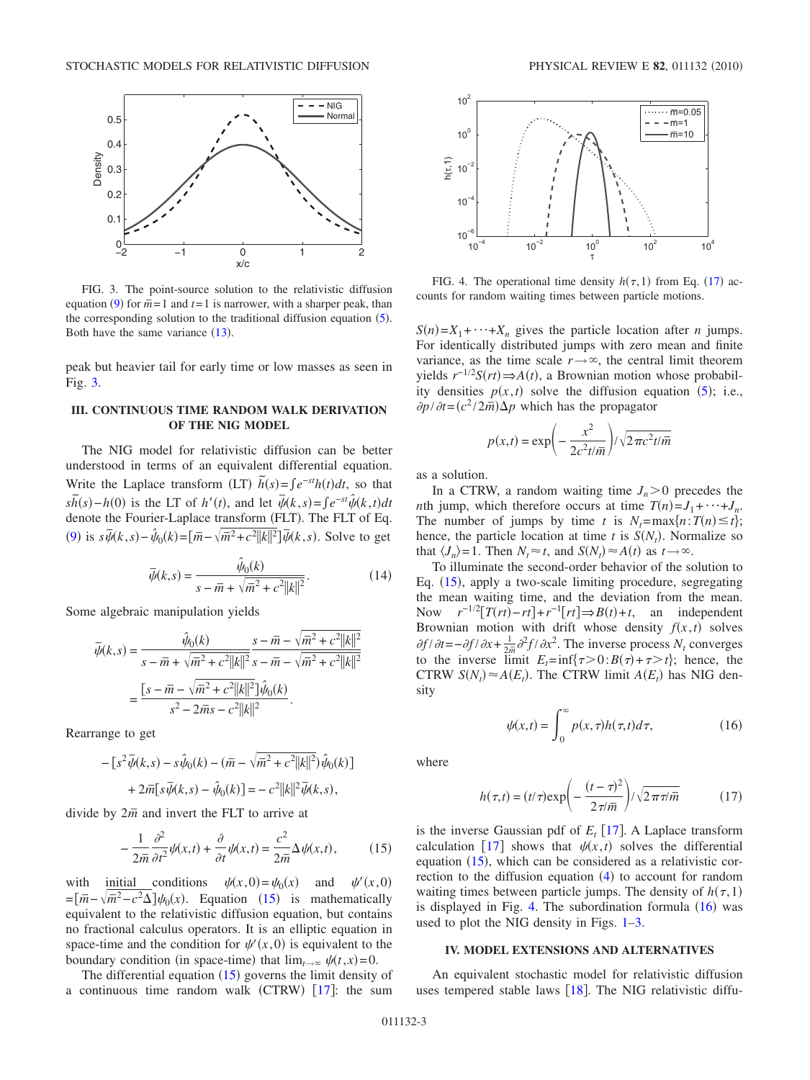<span id="page-2-0"></span>

FIG. 3. The point-source solution to the relativistic diffusion equation ([9](#page-1-0)) for  $\overline{\overline{n}}$  = 1 and *t* = 1 is narrower, with a sharper peak, than the corresponding solution to the traditional diffusion equation  $(5)$  $(5)$  $(5)$ . Both have the same variance  $(13)$  $(13)$  $(13)$ .

peak but heavier tail for early time or low masses as seen in Fig. [3.](#page-2-0)

# **III. CONTINUOUS TIME RANDOM WALK DERIVATION OF THE NIG MODEL**

The NIG model for relativistic diffusion can be better understood in terms of an equivalent differential equation. Write the Laplace transform (LT)  $\tilde{h}(s) = \int e^{-st}h(t)dt$ , so that  $s\bar{h}(s) - h(0)$  is the LT of *h'*(*t*), and let  $\bar{\psi}(k, s) = \int e^{-st} \hat{\psi}(k, t) dt$ denote the Fourier-Laplace transform (FLT). The FLT of Eq. ([9](#page-1-0)) is  $s\bar{\psi}(k, s) - \hat{\psi}_0(k) = [\bar{m} - \sqrt{\bar{m}^2 + c^2 ||k||^2}] \bar{\psi}(k, s)$ . Solve to get

$$
\bar{\psi}(k,s) = \frac{\hat{\psi}_0(k)}{s - \bar{m} + \sqrt{\bar{m}^2 + c^2 ||k||^2}}.
$$
\n(14)

Some algebraic manipulation yields

$$
\overline{\psi}(k,s) = \frac{\hat{\psi}_0(k)}{s - \overline{m} + \sqrt{\overline{m}^2 + c^2 ||k||^2}} \frac{s - \overline{m} - \sqrt{\overline{m}^2 + c^2 ||k||^2}}{s - \overline{m} - \sqrt{\overline{m}^2 + c^2 ||k||^2}} \\
= \frac{[s - \overline{m} - \sqrt{\overline{m}^2 + c^2 ||k||^2}]\hat{\psi}_0(k)}{s^2 - 2\overline{m}s - c^2 ||k||^2}.
$$

Rearrange to get

$$
- [s^2 \overline{\psi}(k,s) - s \hat{\psi}_0(k) - (\overline{m} - \sqrt{\overline{m}^2 + c^2 ||k||^2}) \hat{\psi}_0(k)]
$$
  
+ 2\overline{m}[s \overline{\psi}(k,s) - \hat{\psi}\_0(k)] = - c^2 ||k||^2 \overline{\psi}(k,s),

<span id="page-2-1"></span>divide by  $2\bar{m}$  and invert the FLT to arrive at

$$
-\frac{1}{2\overline{m}}\frac{\partial^2}{\partial t^2}\psi(x,t) + \frac{\partial}{\partial t}\psi(x,t) = \frac{c^2}{2\overline{m}}\Delta\psi(x,t),\tag{15}
$$

with initial conditions  $\psi(x,0) = \psi_0(x)$  and  $\psi'(x,0)$  $\psi'(x,0)$  $=$  $\left[\bar{m} - \sqrt{\bar{m}^2 - c^2} \Delta\right] \psi_0(x)$ . Equation ([15](#page-2-1)) is mathematically equivalent to the relativistic diffusion equation, but contains no fractional calculus operators. It is an elliptic equation in space-time and the condition for  $\psi'(x,0)$  is equivalent to the boundary condition (in space-time) that  $\lim_{t\to\infty} \psi(t,x) = 0$ .

The differential equation  $(15)$  $(15)$  $(15)$  governs the limit density of a continuous time random walk  $(CTRW)$  [[17](#page-4-7)]: the sum

<span id="page-2-2"></span>

FIG. 4. The operational time density  $h(\tau, 1)$  from Eq. ([17](#page-2-4)) accounts for random waiting times between particle motions.

 $S(n) = X_1 + \cdots + X_n$  gives the particle location after *n* jumps. For identically distributed jumps with zero mean and finite variance, as the time scale  $r \rightarrow \infty$ , the central limit theorem yields  $r^{-1/2}S(rt)$  ⇒  $A(t)$ , a Brownian motion whose probability densities  $p(x,t)$  solve the diffusion equation ([5](#page-0-6)); i.e.,  $\frac{\partial p}{\partial t} = (c^2 / 2m) \Delta p$  which has the propagator

$$
p(x,t) = \exp\left(-\frac{x^2}{2c^2t/\overline{m}}\right) / \sqrt{2\pi c^2t/\overline{m}}
$$

as a solution.

In a CTRW, a random waiting time  $J_n > 0$  precedes the *n*th jump, which therefore occurs at time  $T(n) = J_1 + \cdots + J_n$ . The number of jumps by time *t* is  $N_t = \max\{n : T(n) \le t\};$ hence, the particle location at time *t* is  $S(N_t)$ . Normalize so that  $\langle J_n \rangle = 1$ . Then  $N_t \approx t$ , and  $S(N_t) \approx A(t)$  as  $t \to \infty$ .

To illuminate the second-order behavior of the solution to Eq. ([15](#page-2-1)), apply a two-scale limiting procedure, segregating the mean waiting time, and the deviation from the mean. Now  $r^{-1/2}[T(rt) - rt] + r^{-1}[rt] \Rightarrow B(t) + t$ , an independent Brownian motion with drift whose density  $f(x, t)$  solves  $\partial f / \partial t = -\partial f / \partial x + \frac{1}{2m} \partial^2 f / \partial x^2$ . The inverse process  $N_t$  converges to the inverse limit  $E_t = \inf\{\tau > 0 : B(\tau) + \tau > t\}$ ; hence, the CTRW  $S(N_t) \approx A(E_t)$ . The CTRW limit  $A(E_t)$  has NIG density

$$
\psi(x,t) = \int_0^\infty p(x,\tau)h(\tau,t)d\tau,\tag{16}
$$

<span id="page-2-4"></span><span id="page-2-3"></span>where

$$
h(\tau, t) = (t/\tau) \exp\left(-\frac{(t-\tau)^2}{2\pi i\overline{m}}\right) / \sqrt{2\pi \tau / \overline{m}}
$$
(17)

is the inverse Gaussian pdf of  $E_t$  [[17](#page-4-7)]. A Laplace transform calculation [[17](#page-4-7)] shows that  $\psi(x, t)$  solves the differential equation  $(15)$  $(15)$  $(15)$ , which can be considered as a relativistic cor-rection to the diffusion equation ([4](#page-0-5)) to account for random waiting times between particle jumps. The density of  $h(\tau,1)$ is displayed in Fig. [4.](#page-2-2) The subordination formula  $(16)$  $(16)$  $(16)$  was used to plot the NIG density in Figs. [1](#page-1-2)[–3.](#page-2-0)

### **IV. MODEL EXTENSIONS AND ALTERNATIVES**

An equivalent stochastic model for relativistic diffusion uses tempered stable laws  $[18]$  $[18]$  $[18]$ . The NIG relativistic diffu-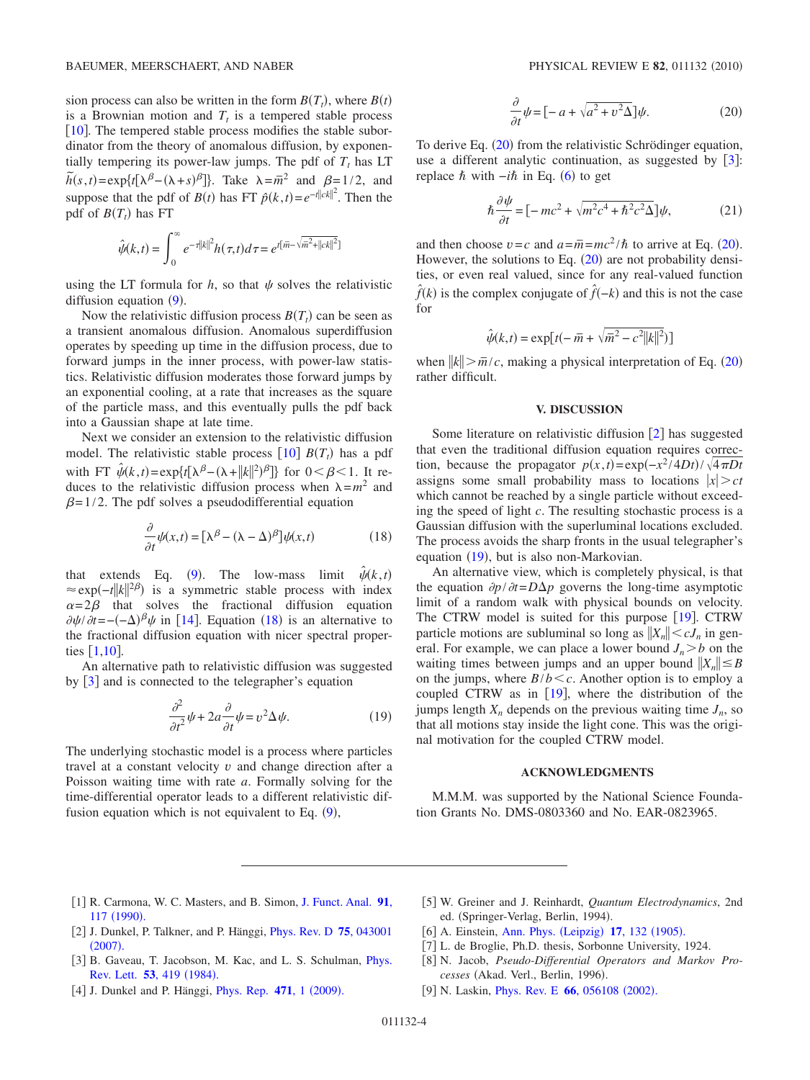sion process can also be written in the form  $B(T_t)$ , where  $B(t)$ is a Brownian motion and  $T_t$  is a tempered stable process  $\lceil 10 \rceil$  $\lceil 10 \rceil$  $\lceil 10 \rceil$ . The tempered stable process modifies the stable subordinator from the theory of anomalous diffusion, by exponentially tempering its power-law jumps. The pdf of  $T<sub>t</sub>$  has LT  $\tilde{h}(s,t) = \exp\{t[\lambda^{\beta} - (\lambda + s)^{\beta}]\}$ . Take  $\lambda = \bar{m}^2$  and  $\beta = 1/2$ , and suppose that the pdf of *B*(*t*) has FT  $\hat{p}(k, t) = e^{-t||ck||^2}$ . Then the pdf of  $B(T_t)$  has FT

$$
\hat{\psi}(k,t) = \int_0^{\infty} e^{-\tau ||k||^2} h(\tau,t) d\tau = e^{t[\bar{m} - \sqrt{\bar{m}^2 + ||ck||^2}]}
$$

using the LT formula for  $h$ , so that  $\psi$  solves the relativistic diffusion equation  $(9)$  $(9)$  $(9)$ .

Now the relativistic diffusion process  $B(T_t)$  can be seen as a transient anomalous diffusion. Anomalous superdiffusion operates by speeding up time in the diffusion process, due to forward jumps in the inner process, with power-law statistics. Relativistic diffusion moderates those forward jumps by an exponential cooling, at a rate that increases as the square of the particle mass, and this eventually pulls the pdf back into a Gaussian shape at late time.

Next we consider an extension to the relativistic diffusion model. The relativistic stable process  $[10] B(T<sub>t</sub>)$  $[10] B(T<sub>t</sub>)$  $[10] B(T<sub>t</sub>)$  has a pdf with FT  $\hat{\psi}(k,t) = \exp\{t[\lambda^{\beta} - (\lambda + ||k||^2)^{\beta}]\}$  for  $0 < \beta < 1$ . It reduces to the relativistic diffusion process when  $\lambda = m^2$  and  $\beta$ =1/2. The pdf solves a pseudodifferential equation

$$
\frac{\partial}{\partial t}\psi(x,t) = [\lambda^{\beta} - (\lambda - \Delta)^{\beta}]\psi(x,t)
$$
\n(18)

<span id="page-3-8"></span>that extends Eq. ([9](#page-1-0)). The low-mass limit  $\hat{\psi}(k, t)$  $\approx$ exp(-*t*||k||<sup>2β</sup>) is a symmetric stable process with index  $\alpha=2\beta$  that solves the fractional diffusion equation  $\partial \psi / \partial t = -(-\Delta)^{\beta} \psi$  in [[14](#page-4-4)]. Equation ([18](#page-3-8)) is an alternative to the fractional diffusion equation with nicer spectral properties  $\lceil 1, 10 \rceil$  $\lceil 1, 10 \rceil$  $\lceil 1, 10 \rceil$ .

<span id="page-3-11"></span>An alternative path to relativistic diffusion was suggested by  $\lceil 3 \rceil$  $\lceil 3 \rceil$  $\lceil 3 \rceil$  and is connected to the telegrapher's equation

$$
\frac{\partial^2}{\partial t^2}\psi + 2a\frac{\partial}{\partial t}\psi = v^2\Delta\psi.
$$
 (19)

The underlying stochastic model is a process where particles travel at a constant velocity *v* and change direction after a Poisson waiting time with rate *a*. Formally solving for the time-differential operator leads to a different relativistic diffusion equation which is not equivalent to Eq.  $(9)$  $(9)$  $(9)$ ,

$$
\frac{\partial}{\partial t}\psi = \left[ -a + \sqrt{a^2 + v^2 \Delta} \right] \psi.
$$
 (20)

<span id="page-3-9"></span>To derive Eq. ([20](#page-3-9)) from the relativistic Schrödinger equation, use a different analytic continuation, as suggested by  $\lceil 3 \rceil$  $\lceil 3 \rceil$  $\lceil 3 \rceil$ : replace  $\hbar$  with −*i* $\hbar$  in Eq. ([6](#page-0-7)) to get

$$
\hbar \frac{\partial \psi}{\partial t} = \left[ -mc^2 + \sqrt{m^2 c^4 + \hbar^2 c^2 \Delta} \right] \psi,
$$
 (21)

and then choose  $v = c$  and  $a = \overline{m} = mc^2/\hbar$  to arrive at Eq. ([20](#page-3-9)). However, the solutions to Eq.  $(20)$  $(20)$  $(20)$  are not probability densities, or even real valued, since for any real-valued function  $\hat{f}(k)$  is the complex conjugate of  $\hat{f}(-k)$  and this is not the case for

$$
\hat{\psi}(k,t) = \exp[t(-\bar{m} + \sqrt{\bar{m}^2 - c^2 ||k||^2})]
$$

when  $||k|| > \overline{m}/c$ , making a physical interpretation of Eq. ([20](#page-3-9)) rather difficult.

### **V. DISCUSSION**

Some literature on relativistic diffusion  $\lceil 2 \rceil$  $\lceil 2 \rceil$  $\lceil 2 \rceil$  has suggested that even the traditional diffusion equation requires correction, because the propagator  $p(x,t) = \exp(-x^2/4Dt)/\sqrt{4\pi Dt}$ assigns some small probability mass to locations  $|x| > ct$ which cannot be reached by a single particle without exceeding the speed of light *c*. The resulting stochastic process is a Gaussian diffusion with the superluminal locations excluded. The process avoids the sharp fronts in the usual telegrapher's equation ([19](#page-3-11)), but is also non-Markovian.

An alternative view, which is completely physical, is that the equation  $\partial p / \partial t = D \Delta p$  governs the long-time asymptotic limit of a random walk with physical bounds on velocity. The CTRW model is suited for this purpose  $[19]$  $[19]$  $[19]$ . CTRW particle motions are subluminal so long as  $||X_n|| \lt cJ_n$  in general. For example, we can place a lower bound  $J_n > b$  on the waiting times between jumps and an upper bound  $||X_n|| \leq B$ on the jumps, where  $B/b < c$ . Another option is to employ a coupled CTRW as in  $[19]$  $[19]$  $[19]$ , where the distribution of the jumps length  $X_n$  depends on the previous waiting time  $J_n$ , so that all motions stay inside the light cone. This was the original motivation for the coupled CTRW model.

#### **ACKNOWLEDGMENTS**

M.M.M. was supported by the National Science Foundation Grants No. DMS-0803360 and No. EAR-0823965.

- <span id="page-3-0"></span>1 R. Carmona, W. C. Masters, and B. Simon, [J. Funct. Anal.](http://dx.doi.org/10.1016/0022-1236(90)90049-Q) **91**, 117 ([1990](http://dx.doi.org/10.1016/0022-1236(90)90049-Q)).
- <span id="page-3-10"></span>2 J. Dunkel, P. Talkner, and P. Hänggi, [Phys. Rev. D](http://dx.doi.org/10.1103/PhysRevD.75.043001) **75**, 043001  $(2007).$  $(2007).$  $(2007).$
- <span id="page-3-1"></span>[3] B. Gaveau, T. Jacobson, M. Kac, and L. S. Schulman, *[Phys.](http://dx.doi.org/10.1103/PhysRevLett.53.419)* [Rev. Lett.](http://dx.doi.org/10.1103/PhysRevLett.53.419) 53, 419 (1984).
- <span id="page-3-2"></span>[4] J. Dunkel and P. Hänggi, *[Phys. Rep.](http://dx.doi.org/10.1016/j.physrep.2008.12.001) 471*, 1 (2009).
- <span id="page-3-3"></span>[5] W. Greiner and J. Reinhardt, *Quantum Electrodynamics*, 2nd ed. (Springer-Verlag, Berlin, 1994).
- <span id="page-3-4"></span>[6] A. Einstein, [Ann. Phys.](http://dx.doi.org/10.1002/andp.19053220607) (Leipzig) 17, 132 (1905).
- <span id="page-3-5"></span>[7] L. de Broglie, Ph.D. thesis, Sorbonne University, 1924.
- <span id="page-3-6"></span>[8] N. Jacob, Pseudo-Differential Operators and Markov Processes (Akad. Verl., Berlin, 1996).
- <span id="page-3-7"></span>[9] N. Laskin, *[Phys. Rev. E](http://dx.doi.org/10.1103/PhysRevE.66.056108)* **66**, 056108 (2002).